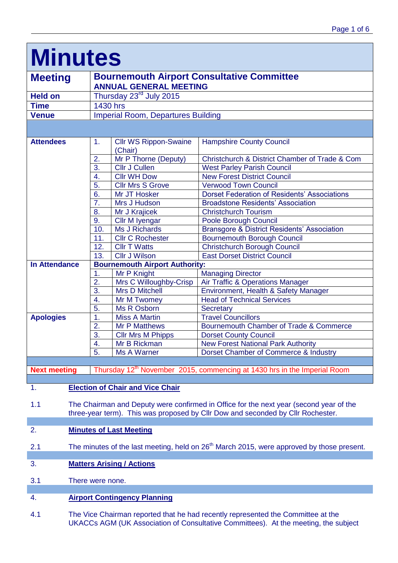| <b>Minutes</b>                                                                                                                                                                   |                                                                                      |                                         |                                                        |  |  |
|----------------------------------------------------------------------------------------------------------------------------------------------------------------------------------|--------------------------------------------------------------------------------------|-----------------------------------------|--------------------------------------------------------|--|--|
| <b>Meeting</b>                                                                                                                                                                   | <b>Bournemouth Airport Consultative Committee</b>                                    |                                         |                                                        |  |  |
|                                                                                                                                                                                  |                                                                                      | <b>ANNUAL GENERAL MEETING</b>           |                                                        |  |  |
| <b>Held on</b>                                                                                                                                                                   | Thursday 23 <sup>rd</sup> July 2015                                                  |                                         |                                                        |  |  |
| <b>Time</b>                                                                                                                                                                      | <b>1430 hrs</b>                                                                      |                                         |                                                        |  |  |
| <b>Venue</b>                                                                                                                                                                     | <b>Imperial Room, Departures Building</b>                                            |                                         |                                                        |  |  |
|                                                                                                                                                                                  |                                                                                      |                                         |                                                        |  |  |
| <b>Attendees</b>                                                                                                                                                                 | 1.                                                                                   | <b>Cllr WS Rippon-Swaine</b><br>(Chair) | <b>Hampshire County Council</b>                        |  |  |
|                                                                                                                                                                                  | 2.                                                                                   | Mr P Thorne (Deputy)                    | Christchurch & District Chamber of Trade & Com         |  |  |
|                                                                                                                                                                                  | 3.                                                                                   | <b>Cllr J Cullen</b>                    | <b>West Parley Parish Council</b>                      |  |  |
|                                                                                                                                                                                  | 4.                                                                                   | <b>Cllr WH Dow</b>                      | <b>New Forest District Council</b>                     |  |  |
|                                                                                                                                                                                  | 5.                                                                                   | <b>Cllr Mrs S Grove</b>                 | <b>Verwood Town Council</b>                            |  |  |
|                                                                                                                                                                                  | 6.                                                                                   | Mr JT Hosker                            | <b>Dorset Federation of Residents' Associations</b>    |  |  |
|                                                                                                                                                                                  | 7.                                                                                   | Mrs J Hudson                            | <b>Broadstone Residents' Association</b>               |  |  |
|                                                                                                                                                                                  | 8.                                                                                   | Mr J Krajicek                           | <b>Christchurch Tourism</b>                            |  |  |
|                                                                                                                                                                                  | 9.                                                                                   | Cllr M Iyengar                          | Poole Borough Council                                  |  |  |
|                                                                                                                                                                                  | 10.                                                                                  | Ms J Richards                           | <b>Bransgore &amp; District Residents' Association</b> |  |  |
|                                                                                                                                                                                  | 11.                                                                                  | <b>Cllr C Rochester</b>                 | <b>Bournemouth Borough Council</b>                     |  |  |
|                                                                                                                                                                                  | 12.                                                                                  | <b>CIIr T Watts</b>                     | <b>Christchurch Borough Council</b>                    |  |  |
|                                                                                                                                                                                  | 13.                                                                                  | <b>Cllr J Wilson</b>                    | <b>East Dorset District Council</b>                    |  |  |
| <b>In Attendance</b>                                                                                                                                                             | <b>Bournemouth Airport Authority:</b>                                                |                                         |                                                        |  |  |
|                                                                                                                                                                                  | 1.                                                                                   | Mr P Knight                             | <b>Managing Director</b>                               |  |  |
|                                                                                                                                                                                  | 2.                                                                                   | Mrs C Willoughby-Crisp                  | Air Traffic & Operations Manager                       |  |  |
|                                                                                                                                                                                  | 3.                                                                                   | <b>Mrs D Mitchell</b>                   | Environment, Health & Safety Manager                   |  |  |
|                                                                                                                                                                                  | 4.                                                                                   | Mr M Twomey                             | <b>Head of Technical Services</b>                      |  |  |
|                                                                                                                                                                                  | 5.                                                                                   | Ms R Osborn                             | Secretary                                              |  |  |
| <b>Apologies</b>                                                                                                                                                                 | $\mathbf 1$ .                                                                        | <b>Miss A Martin</b>                    | <b>Travel Councillors</b>                              |  |  |
|                                                                                                                                                                                  | 2.                                                                                   | <b>Mr P Matthews</b>                    | Bournemouth Chamber of Trade & Commerce                |  |  |
|                                                                                                                                                                                  | 3.<br>$\boldsymbol{\Lambda}$                                                         | <b>Cllr Mrs M Phipps</b>                | <b>Dorset County Council</b>                           |  |  |
|                                                                                                                                                                                  | т.<br>5.                                                                             | Mr B Rickman<br><b>Ms A Warner</b>      | <b>New Forest National Park Authority</b>              |  |  |
|                                                                                                                                                                                  |                                                                                      |                                         | Dorset Chamber of Commerce & Industry                  |  |  |
| <b>Next meeting</b>                                                                                                                                                              |                                                                                      |                                         |                                                        |  |  |
|                                                                                                                                                                                  | Thursday 12 <sup>th</sup> November 2015, commencing at 1430 hrs in the Imperial Room |                                         |                                                        |  |  |
| <b>Election of Chair and Vice Chair</b><br>1.                                                                                                                                    |                                                                                      |                                         |                                                        |  |  |
|                                                                                                                                                                                  |                                                                                      |                                         |                                                        |  |  |
| The Chairman and Deputy were confirmed in Office for the next year (second year of the<br>1.1<br>three-year term). This was proposed by Cllr Dow and seconded by Cllr Rochester. |                                                                                      |                                         |                                                        |  |  |
|                                                                                                                                                                                  |                                                                                      |                                         |                                                        |  |  |

# 2. **Minutes of Last Meeting**

- 2.1 The minutes of the last meeting, held on 26<sup>th</sup> March 2015, were approved by those present.
- 3. **Matters Arising / Actions**
- 3.1 There were none.

# 4. **Airport Contingency Planning**

4.1 The Vice Chairman reported that he had recently represented the Committee at the UKACCs AGM (UK Association of Consultative Committees). At the meeting, the subject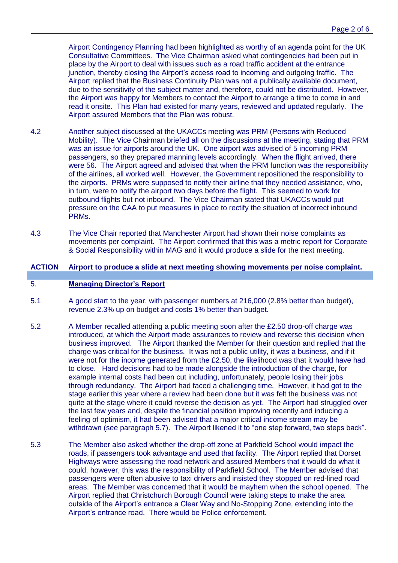Airport Contingency Planning had been highlighted as worthy of an agenda point for the UK Consultative Committees. The Vice Chairman asked what contingencies had been put in place by the Airport to deal with issues such as a road traffic accident at the entrance junction, thereby closing the Airport's access road to incoming and outgoing traffic. The Airport replied that the Business Continuity Plan was not a publically available document, due to the sensitivity of the subject matter and, therefore, could not be distributed. However, the Airport was happy for Members to contact the Airport to arrange a time to come in and read it onsite. This Plan had existed for many years, reviewed and updated regularly. The Airport assured Members that the Plan was robust.

- 4.2 Another subject discussed at the UKACCs meeting was PRM (Persons with Reduced Mobility). The Vice Chairman briefed all on the discussions at the meeting, stating that PRM was an issue for airports around the UK. One airport was advised of 5 incoming PRM passengers, so they prepared manning levels accordingly. When the flight arrived, there were 56. The Airport agreed and advised that when the PRM function was the responsibility of the airlines, all worked well. However, the Government repositioned the responsibility to the airports. PRMs were supposed to notify their airline that they needed assistance, who, in turn, were to notify the airport two days before the flight. This seemed to work for outbound flights but not inbound. The Vice Chairman stated that UKACCs would put pressure on the CAA to put measures in place to rectify the situation of incorrect inbound PRMs.
- 4.3 The Vice Chair reported that Manchester Airport had shown their noise complaints as movements per complaint. The Airport confirmed that this was a metric report for Corporate & Social Responsibility within MAG and it would produce a slide for the next meeting.

## **ACTION Airport to produce a slide at next meeting showing movements per noise complaint.**

### 5. **Managing Director's Report**

- 5.1 A good start to the year, with passenger numbers at 216,000 (2.8% better than budget), revenue 2.3% up on budget and costs 1% better than budget.
- 5.2 A Member recalled attending a public meeting soon after the £2.50 drop-off charge was introduced, at which the Airport made assurances to review and reverse this decision when business improved. The Airport thanked the Member for their question and replied that the charge was critical for the business. It was not a public utility, it was a business, and if it were not for the income generated from the £2.50, the likelihood was that it would have had to close. Hard decisions had to be made alongside the introduction of the charge, for example internal costs had been cut including, unfortunately, people losing their jobs through redundancy. The Airport had faced a challenging time. However, it had got to the stage earlier this year where a review had been done but it was felt the business was not quite at the stage where it could reverse the decision as yet. The Airport had struggled over the last few years and, despite the financial position improving recently and inducing a feeling of optimism, it had been advised that a major critical income stream may be withdrawn (see paragraph 5.7). The Airport likened it to "one step forward, two steps back".
- 5.3 The Member also asked whether the drop-off zone at Parkfield School would impact the roads, if passengers took advantage and used that facility. The Airport replied that Dorset Highways were assessing the road network and assured Members that it would do what it could, however, this was the responsibility of Parkfield School. The Member advised that passengers were often abusive to taxi drivers and insisted they stopped on red-lined road areas. The Member was concerned that it would be mayhem when the school opened. The Airport replied that Christchurch Borough Council were taking steps to make the area outside of the Airport's entrance a Clear Way and No-Stopping Zone, extending into the Airport's entrance road. There would be Police enforcement.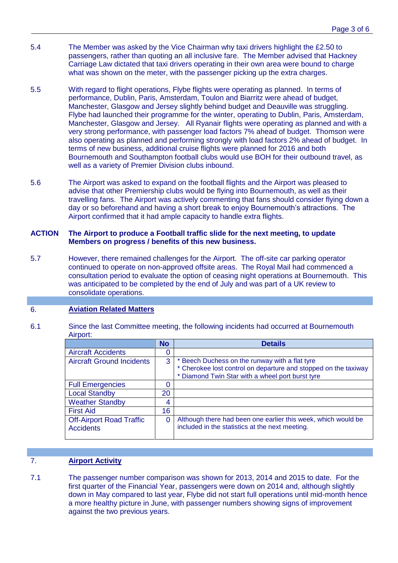- 5.4 The Member was asked by the Vice Chairman why taxi drivers highlight the £2.50 to passengers, rather than quoting an all inclusive fare. The Member advised that Hackney Carriage Law dictated that taxi drivers operating in their own area were bound to charge what was shown on the meter, with the passenger picking up the extra charges.
- 5.5 With regard to flight operations, Flybe flights were operating as planned. In terms of performance, Dublin, Paris, Amsterdam, Toulon and Biarritz were ahead of budget, Manchester, Glasgow and Jersey slightly behind budget and Deauville was struggling. Flybe had launched their programme for the winter, operating to Dublin, Paris, Amsterdam, Manchester, Glasgow and Jersey. All Ryanair flights were operating as planned and with a very strong performance, with passenger load factors 7% ahead of budget. Thomson were also operating as planned and performing strongly with load factors 2% ahead of budget. In terms of new business, additional cruise flights were planned for 2016 and both Bournemouth and Southampton football clubs would use BOH for their outbound travel, as well as a variety of Premier Division clubs inbound.
- 5.6 The Airport was asked to expand on the football flights and the Airport was pleased to advise that other Premiership clubs would be flying into Bournemouth, as well as their travelling fans. The Airport was actively commenting that fans should consider flying down a day or so beforehand and having a short break to enjoy Bournemouth's attractions. The Airport confirmed that it had ample capacity to handle extra flights.

### **ACTION The Airport to produce a Football traffic slide for the next meeting, to update Members on progress / benefits of this new business.**

5.7 However, there remained challenges for the Airport. The off-site car parking operator continued to operate on non-approved offsite areas. The Royal Mail had commenced a consultation period to evaluate the option of ceasing night operations at Bournemouth. This was anticipated to be completed by the end of July and was part of a UK review to consolidate operations.

# 6. **Aviation Related Matters**

#### 6.1 Since the last Committee meeting, the following incidents had occurred at Bournemouth Airport:

|                                                     | No       | <b>Details</b>                                                                                                                                                        |
|-----------------------------------------------------|----------|-----------------------------------------------------------------------------------------------------------------------------------------------------------------------|
| <b>Aircraft Accidents</b>                           |          |                                                                                                                                                                       |
| <b>Aircraft Ground Incidents</b>                    | 3        | * Beech Duchess on the runway with a flat tyre<br>* Cherokee lost control on departure and stopped on the taxiway<br>* Diamond Twin Star with a wheel port burst tyre |
| <b>Full Emergencies</b>                             |          |                                                                                                                                                                       |
| <b>Local Standby</b>                                | 20       |                                                                                                                                                                       |
| <b>Weather Standby</b>                              | 4        |                                                                                                                                                                       |
| <b>First Aid</b>                                    | 16       |                                                                                                                                                                       |
| <b>Off-Airport Road Traffic</b><br><b>Accidents</b> | $\Omega$ | Although there had been one earlier this week, which would be<br>included in the statistics at the next meeting.                                                      |

# 7. **Airport Activity**

7.1 The passenger number comparison was shown for 2013, 2014 and 2015 to date. For the first quarter of the Financial Year, passengers were down on 2014 and, although slightly down in May compared to last year, Flybe did not start full operations until mid-month hence a more healthy picture in June, with passenger numbers showing signs of improvement against the two previous years.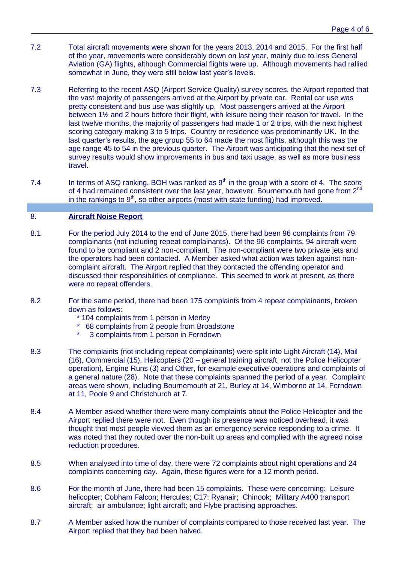- 7.2 Total aircraft movements were shown for the years 2013, 2014 and 2015. For the first half of the year, movements were considerably down on last year, mainly due to less General Aviation (GA) flights, although Commercial flights were up. Although movements had rallied somewhat in June, they were still below last year's levels.
- 7.3 Referring to the recent ASQ (Airport Service Quality) survey scores, the Airport reported that the vast majority of passengers arrived at the Airport by private car. Rental car use was pretty consistent and bus use was slightly up. Most passengers arrived at the Airport between 1½ and 2 hours before their flight, with leisure being their reason for travel. In the last twelve months, the majority of passengers had made 1 or 2 trips, with the next highest scoring category making 3 to 5 trips. Country or residence was predominantly UK. In the last quarter's results, the age group 55 to 64 made the most flights, although this was the age range 45 to 54 in the previous quarter. The Airport was anticipating that the next set of survey results would show improvements in bus and taxi usage, as well as more business travel.
- 7.4 In terms of ASQ ranking, BOH was ranked as  $9<sup>th</sup>$  in the group with a score of 4. The score of 4 had remained consistent over the last year, however, Bournemouth had gone from 2<sup>nd</sup> in the rankings to  $9<sup>th</sup>$ , so other airports (most with state funding) had improved.

# 8. **Aircraft Noise Report**

- 8.1 For the period July 2014 to the end of June 2015, there had been 96 complaints from 79 complainants (not including repeat complainants). Of the 96 complaints, 94 aircraft were found to be compliant and 2 non-compliant. The non-compliant were two private jets and the operators had been contacted. A Member asked what action was taken against noncomplaint aircraft. The Airport replied that they contacted the offending operator and discussed their responsibilities of compliance. This seemed to work at present, as there were no repeat offenders.
- 8.2 For the same period, there had been 175 complaints from 4 repeat complainants, broken down as follows:
	- \* 104 complaints from 1 person in Merley
	- \* 68 complaints from 2 people from Broadstone<br>\* 3 complaints from 1 person in Eerodown
	- 3 complaints from 1 person in Ferndown
- 8.3 The complaints (not including repeat complainants) were split into Light Aircraft (14), Mail (16), Commercial (15), Helicopters (20 – general training aircraft, not the Police Helicopter operation), Engine Runs (3) and Other, for example executive operations and complaints of a general nature (28). Note that these complaints spanned the period of a year. Complaint areas were shown, including Bournemouth at 21, Burley at 14, Wimborne at 14, Ferndown at 11, Poole 9 and Christchurch at 7.
- 8.4 A Member asked whether there were many complaints about the Police Helicopter and the Airport replied there were not. Even though its presence was noticed overhead, it was thought that most people viewed them as an emergency service responding to a crime. It was noted that they routed over the non-built up areas and complied with the agreed noise reduction procedures.
- 8.5 When analysed into time of day, there were 72 complaints about night operations and 24 complaints concerning day. Again, these figures were for a 12 month period.
- 8.6 For the month of June, there had been 15 complaints. These were concerning: Leisure helicopter; Cobham Falcon; Hercules; C17; Ryanair; Chinook; Military A400 transport aircraft; air ambulance; light aircraft; and Flybe practising approaches.
- 8.7 A Member asked how the number of complaints compared to those received last year. The Airport replied that they had been halved.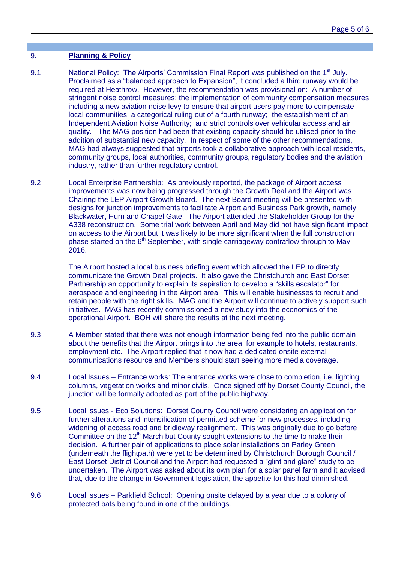## 9. **Planning & Policy**

- 9.1 National Policy: The Airports' Commission Final Report was published on the 1<sup>st</sup> July. Proclaimed as a "balanced approach to Expansion", it concluded a third runway would be required at Heathrow. However, the recommendation was provisional on: A number of stringent noise control measures; the implementation of community compensation measures including a new aviation noise levy to ensure that airport users pay more to compensate local communities; a categorical ruling out of a fourth runway; the establishment of an Independent Aviation Noise Authority; and strict controls over vehicular access and air quality. The MAG position had been that existing capacity should be utilised prior to the addition of substantial new capacity. In respect of some of the other recommendations, MAG had always suggested that airports took a collaborative approach with local residents, community groups, local authorities, community groups, regulatory bodies and the aviation industry, rather than further regulatory control.
- 9.2 Local Enterprise Partnership: As previously reported, the package of Airport access improvements was now being progressed through the Growth Deal and the Airport was Chairing the LEP Airport Growth Board. The next Board meeting will be presented with designs for junction improvements to facilitate Airport and Business Park growth, namely Blackwater, Hurn and Chapel Gate. The Airport attended the Stakeholder Group for the A338 reconstruction. Some trial work between April and May did not have significant impact on access to the Airport but it was likely to be more significant when the full construction phase started on the  $6<sup>th</sup>$  September, with single carriageway contraflow through to May 2016.

The Airport hosted a local business briefing event which allowed the LEP to directly communicate the Growth Deal projects. It also gave the Christchurch and East Dorset Partnership an opportunity to explain its aspiration to develop a "skills escalator" for aerospace and engineering in the Airport area. This will enable businesses to recruit and retain people with the right skills. MAG and the Airport will continue to actively support such initiatives. MAG has recently commissioned a new study into the economics of the operational Airport. BOH will share the results at the next meeting.

- 9.3 A Member stated that there was not enough information being fed into the public domain about the benefits that the Airport brings into the area, for example to hotels, restaurants, employment etc. The Airport replied that it now had a dedicated onsite external communications resource and Members should start seeing more media coverage.
- 9.4 Local Issues Entrance works: The entrance works were close to completion, i.e. lighting columns, vegetation works and minor civils. Once signed off by Dorset County Council, the junction will be formally adopted as part of the public highway.
- 9.5 Local issues Eco Solutions: Dorset County Council were considering an application for further alterations and intensification of permitted scheme for new processes, including widening of access road and bridleway realignment. This was originally due to go before Committee on the 12<sup>th</sup> March but County sought extensions to the time to make their decision. A further pair of applications to place solar installations on Parley Green (underneath the flightpath) were yet to be determined by Christchurch Borough Council / East Dorset District Council and the Airport had requested a "glint and glare" study to be undertaken. The Airport was asked about its own plan for a solar panel farm and it advised that, due to the change in Government legislation, the appetite for this had diminished.
- 9.6 Local issues Parkfield School: Opening onsite delayed by a year due to a colony of protected bats being found in one of the buildings.